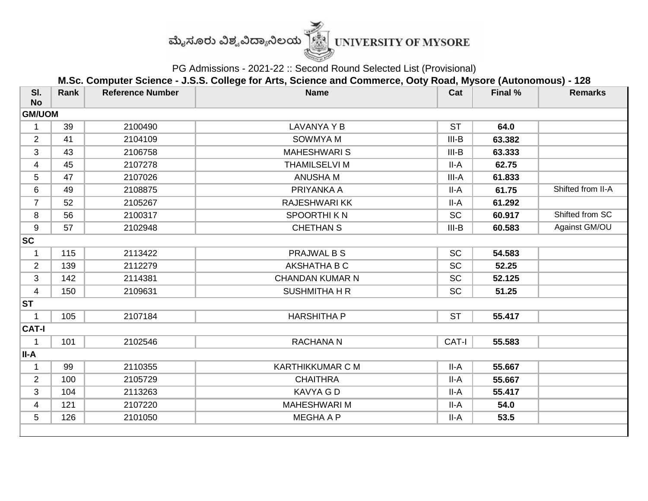

PG Admissions - 2021-22 :: Second Round Selected List (Provisional)

**M.Sc. Computer Science - J.S.S. College for Arts, Science and Commerce, Ooty Road, Mysore (Autonomous) - 128**

| SI.<br><b>No</b> | Rank | <b>Reference Number</b> | <b>Name</b>             | Cat       | Final % | <b>Remarks</b>    |  |  |  |
|------------------|------|-------------------------|-------------------------|-----------|---------|-------------------|--|--|--|
| <b>GM/UOM</b>    |      |                         |                         |           |         |                   |  |  |  |
| $\mathbf 1$      | 39   | 2100490                 | <b>LAVANYA Y B</b>      | <b>ST</b> | 64.0    |                   |  |  |  |
| $\overline{2}$   | 41   | 2104109                 | <b>SOWMYA M</b>         | $III-B$   | 63.382  |                   |  |  |  |
| 3                | 43   | 2106758                 | <b>MAHESHWARIS</b>      | $III-B$   | 63.333  |                   |  |  |  |
| 4                | 45   | 2107278                 | <b>THAMILSELVI M</b>    | II-A      | 62.75   |                   |  |  |  |
| 5                | 47   | 2107026                 | <b>ANUSHA M</b>         | III-A     | 61.833  |                   |  |  |  |
| 6                | 49   | 2108875                 | PRIYANKA A              | II-A      | 61.75   | Shifted from II-A |  |  |  |
| $\overline{7}$   | 52   | 2105267                 | <b>RAJESHWARIKK</b>     | II-A      | 61.292  |                   |  |  |  |
| 8                | 56   | 2100317                 | <b>SPOORTHIKN</b>       | <b>SC</b> | 60.917  | Shifted from SC   |  |  |  |
| 9                | 57   | 2102948                 | <b>CHETHAN S</b>        | $III-B$   | 60.583  | Against GM/OU     |  |  |  |
| <b>SC</b>        |      |                         |                         |           |         |                   |  |  |  |
| 1                | 115  | 2113422                 | <b>PRAJWAL B S</b>      | <b>SC</b> | 54.583  |                   |  |  |  |
| $\overline{2}$   | 139  | 2112279                 | AKSHATHA B C            | <b>SC</b> | 52.25   |                   |  |  |  |
| 3                | 142  | 2114381                 | <b>CHANDAN KUMAR N</b>  | SC        | 52.125  |                   |  |  |  |
| $\overline{4}$   | 150  | 2109631                 | <b>SUSHMITHA H R</b>    | <b>SC</b> | 51.25   |                   |  |  |  |
| <b>ST</b>        |      |                         |                         |           |         |                   |  |  |  |
| 1                | 105  | 2107184                 | <b>HARSHITHA P</b>      | <b>ST</b> | 55.417  |                   |  |  |  |
| <b>CAT-I</b>     |      |                         |                         |           |         |                   |  |  |  |
| 1                | 101  | 2102546                 | <b>RACHANA N</b>        | CAT-I     | 55.583  |                   |  |  |  |
| II-A             |      |                         |                         |           |         |                   |  |  |  |
| 1                | 99   | 2110355                 | <b>KARTHIKKUMAR C M</b> | II-A      | 55.667  |                   |  |  |  |
| $\overline{2}$   | 100  | 2105729                 | <b>CHAITHRA</b>         | II-A      | 55.667  |                   |  |  |  |
| 3                | 104  | 2113263                 | <b>KAVYA G D</b>        | II-A      | 55.417  |                   |  |  |  |
| 4                | 121  | 2107220                 | <b>MAHESHWARI M</b>     | II-A      | 54.0    |                   |  |  |  |
| 5                | 126  | 2101050                 | <b>MEGHA A P</b>        | II-A      | 53.5    |                   |  |  |  |
|                  |      |                         |                         |           |         |                   |  |  |  |